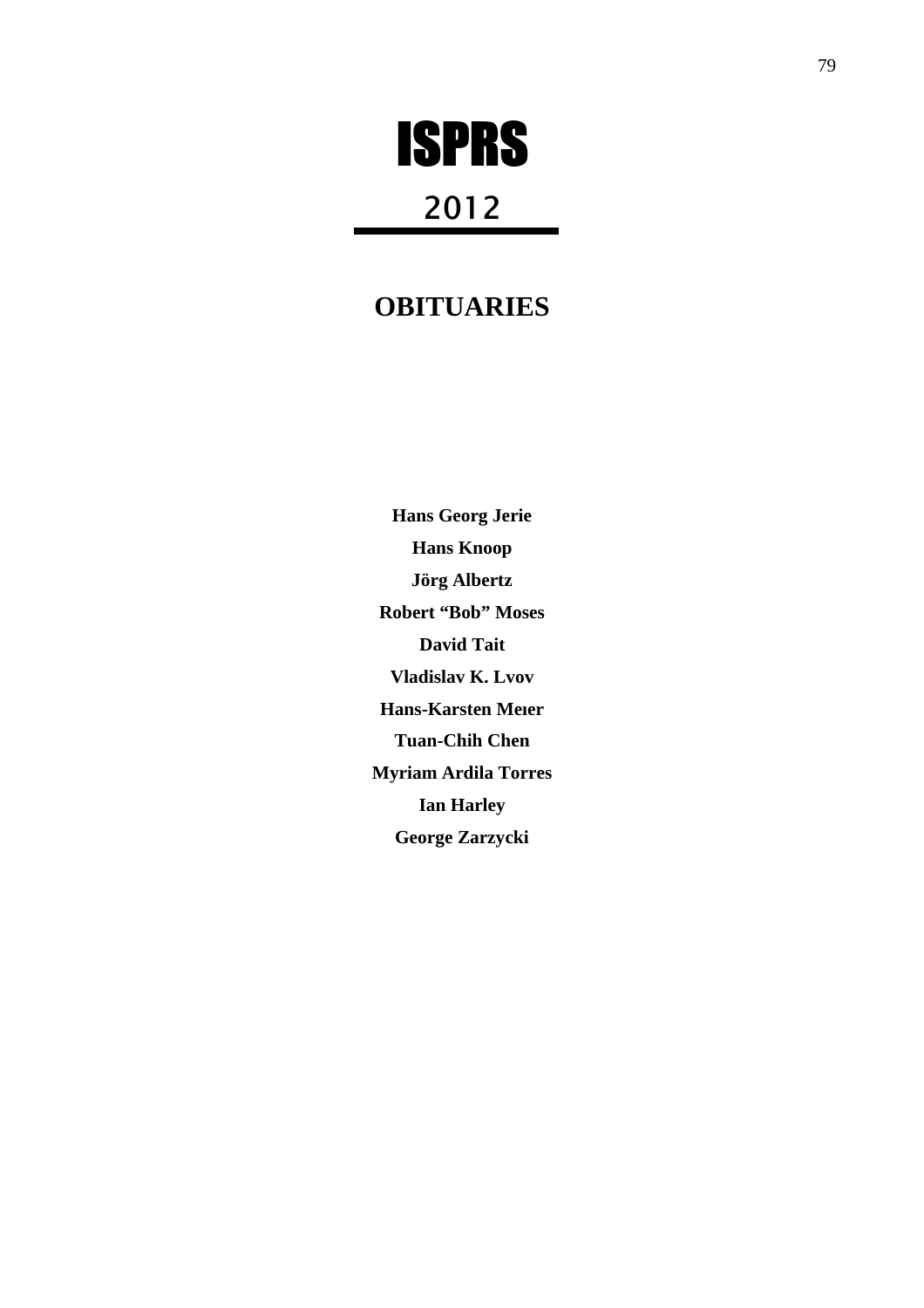# ISPRS

## 2012

### **OBITUARIES**

**Hans Georg Jerie Hans Knoop Jörg Albertz Robert "Bob" Moses David Tait Vladislav K. Lvov Hans-Karsten Meıer Tuan-Chih Chen Myriam Ardila Torres Ian Harley George Zarzycki**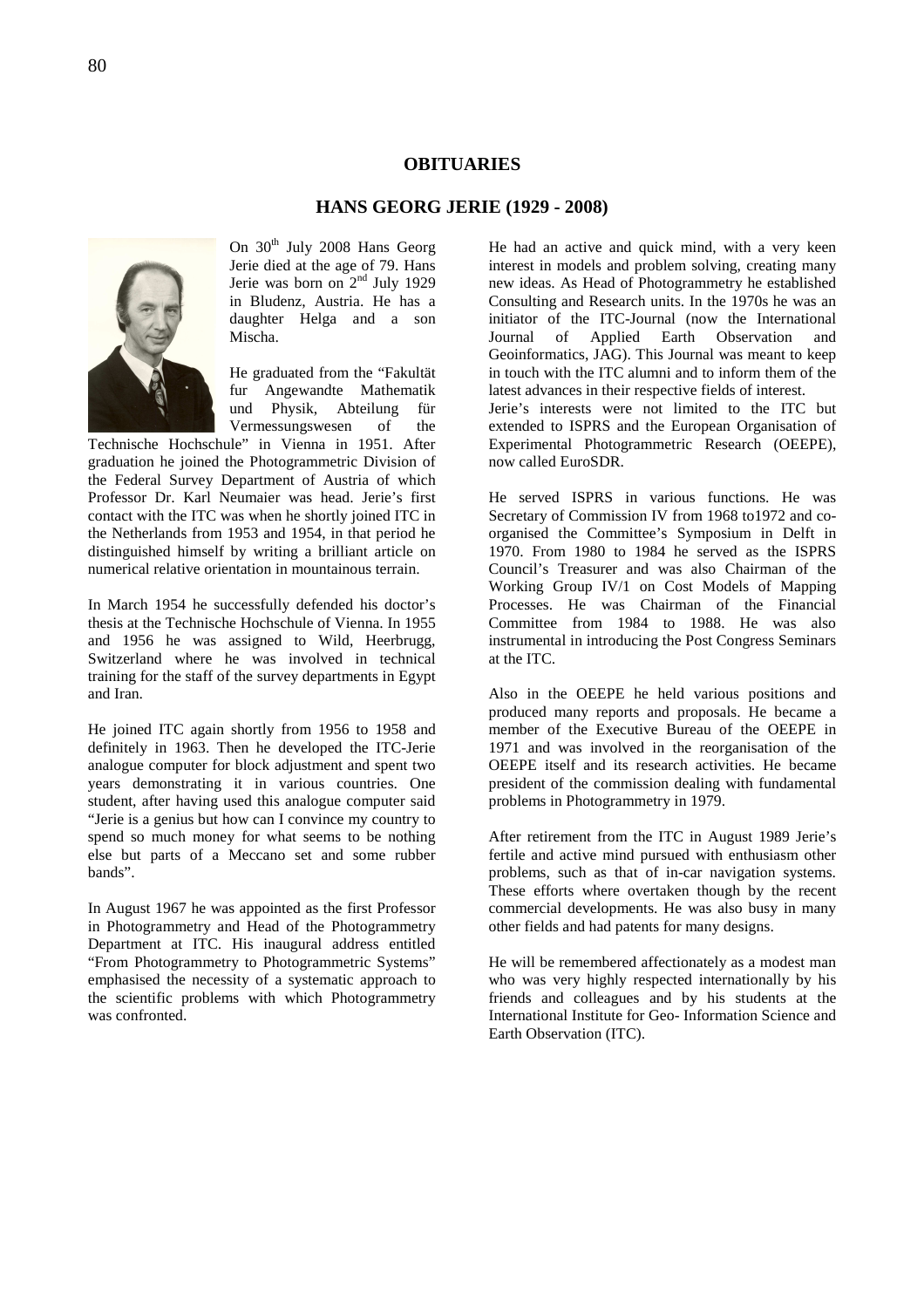#### **OBITUARIES**

#### **HANS GEORG JERIE (1929 - 2008)**



On  $30<sup>th</sup>$  July 2008 Hans Georg Jerie died at the age of 79. Hans Jerie was born on  $2<sup>nd</sup>$  July 1929 in Bludenz, Austria. He has a daughter Helga and a son Mischa.

He graduated from the "Fakultät fur Angewandte Mathematik und Physik, Abteilung für Vermessungswesen of the

Technische Hochschule" in Vienna in 1951. After graduation he joined the Photogrammetric Division of the Federal Survey Department of Austria of which Professor Dr. Karl Neumaier was head. Jerie's first contact with the ITC was when he shortly joined ITC in the Netherlands from 1953 and 1954, in that period he distinguished himself by writing a brilliant article on numerical relative orientation in mountainous terrain.

In March 1954 he successfully defended his doctor's thesis at the Technische Hochschule of Vienna. In 1955 and 1956 he was assigned to Wild, Heerbrugg, Switzerland where he was involved in technical training for the staff of the survey departments in Egypt and Iran.

He joined ITC again shortly from 1956 to 1958 and definitely in 1963. Then he developed the ITC-Jerie analogue computer for block adjustment and spent two years demonstrating it in various countries. One student, after having used this analogue computer said "Jerie is a genius but how can I convince my country to spend so much money for what seems to be nothing else but parts of a Meccano set and some rubber bands".

In August 1967 he was appointed as the first Professor in Photogrammetry and Head of the Photogrammetry Department at ITC. His inaugural address entitled "From Photogrammetry to Photogrammetric Systems" emphasised the necessity of a systematic approach to the scientific problems with which Photogrammetry was confronted.

He had an active and quick mind, with a very keen interest in models and problem solving, creating many new ideas. As Head of Photogrammetry he established Consulting and Research units. In the 1970s he was an initiator of the ITC-Journal (now the International Journal of Applied Earth Observation and Geoinformatics, JAG). This Journal was meant to keep in touch with the ITC alumni and to inform them of the latest advances in their respective fields of interest. Jerie's interests were not limited to the ITC but extended to ISPRS and the European Organisation of Experimental Photogrammetric Research (OEEPE), now called EuroSDR.

He served ISPRS in various functions. He was Secretary of Commission IV from 1968 to1972 and coorganised the Committee's Symposium in Delft in 1970. From 1980 to 1984 he served as the ISPRS Council's Treasurer and was also Chairman of the Working Group IV/1 on Cost Models of Mapping Processes. He was Chairman of the Financial Committee from 1984 to 1988. He was also instrumental in introducing the Post Congress Seminars at the ITC.

Also in the OEEPE he held various positions and produced many reports and proposals. He became a member of the Executive Bureau of the OEEPE in 1971 and was involved in the reorganisation of the OEEPE itself and its research activities. He became president of the commission dealing with fundamental problems in Photogrammetry in 1979.

After retirement from the ITC in August 1989 Jerie's fertile and active mind pursued with enthusiasm other problems, such as that of in-car navigation systems. These efforts where overtaken though by the recent commercial developments. He was also busy in many other fields and had patents for many designs.

He will be remembered affectionately as a modest man who was very highly respected internationally by his friends and colleagues and by his students at the International Institute for Geo- Information Science and Earth Observation (ITC).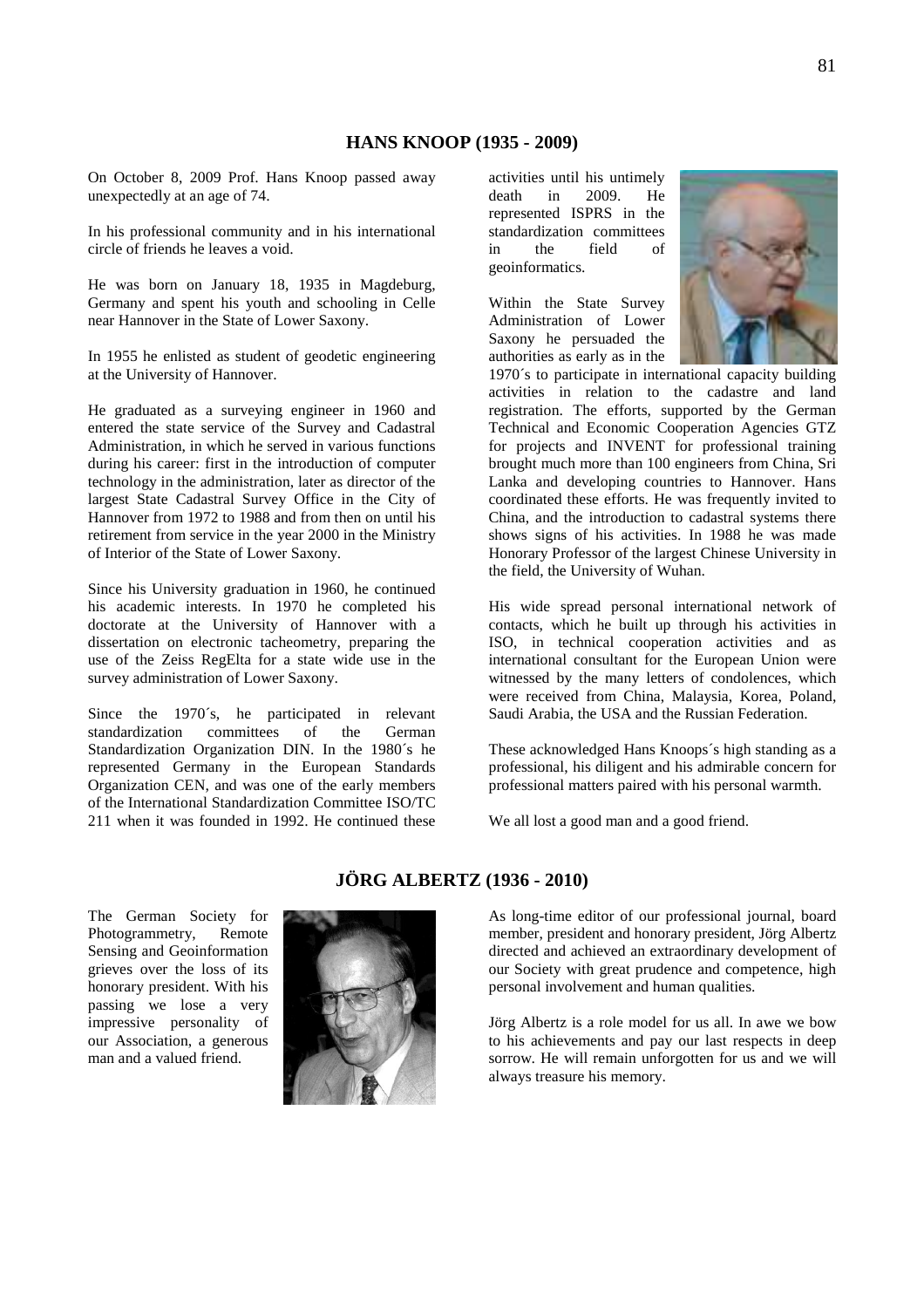On October 8, 2009 Prof. Hans Knoop passed away unexpectedly at an age of 74.

In his professional community and in his international circle of friends he leaves a void.

He was born on January 18, 1935 in Magdeburg, Germany and spent his youth and schooling in Celle near Hannover in the State of Lower Saxony.

In 1955 he enlisted as student of geodetic engineering at the University of Hannover.

He graduated as a surveying engineer in 1960 and entered the state service of the Survey and Cadastral Administration, in which he served in various functions during his career: first in the introduction of computer technology in the administration, later as director of the largest State Cadastral Survey Office in the City of Hannover from 1972 to 1988 and from then on until his retirement from service in the year 2000 in the Ministry of Interior of the State of Lower Saxony.

Since his University graduation in 1960, he continued his academic interests. In 1970 he completed his doctorate at the University of Hannover with a dissertation on electronic tacheometry, preparing the use of the Zeiss RegElta for a state wide use in the survey administration of Lower Saxony.

Since the 1970´s, he participated in relevant standardization committees of the German Standardization Organization DIN. In the 1980´s he represented Germany in the European Standards Organization CEN, and was one of the early members of the International Standardization Committee ISO/TC 211 when it was founded in 1992. He continued these

activities until his untimely death in 2009. He represented ISPRS in the standardization committees in the field of geoinformatics.

Within the State Survey Administration of Lower Saxony he persuaded the authorities as early as in the



1970´s to participate in international capacity building activities in relation to the cadastre and land registration. The efforts, supported by the German Technical and Economic Cooperation Agencies GTZ for projects and INVENT for professional training brought much more than 100 engineers from China, Sri Lanka and developing countries to Hannover. Hans coordinated these efforts. He was frequently invited to China, and the introduction to cadastral systems there shows signs of his activities. In 1988 he was made Honorary Professor of the largest Chinese University in the field, the University of Wuhan.

His wide spread personal international network of contacts, which he built up through his activities in ISO, in technical cooperation activities and as international consultant for the European Union were witnessed by the many letters of condolences, which were received from China, Malaysia, Korea, Poland, Saudi Arabia, the USA and the Russian Federation.

These acknowledged Hans Knoops´s high standing as a professional, his diligent and his admirable concern for professional matters paired with his personal warmth.

We all lost a good man and a good friend.

The German Society for Photogrammetry, Remote Sensing and Geoinformation grieves over the loss of its honorary president. With his passing we lose a very impressive personality of our Association, a generous man and a valued friend.



#### **JÖRG ALBERTZ (1936 - 2010)**

As long-time editor of our professional journal, board member, president and honorary president, Jörg Albertz directed and achieved an extraordinary development of our Society with great prudence and competence, high personal involvement and human qualities.

Jörg Albertz is a role model for us all. In awe we bow to his achievements and pay our last respects in deep sorrow. He will remain unforgotten for us and we will always treasure his memory.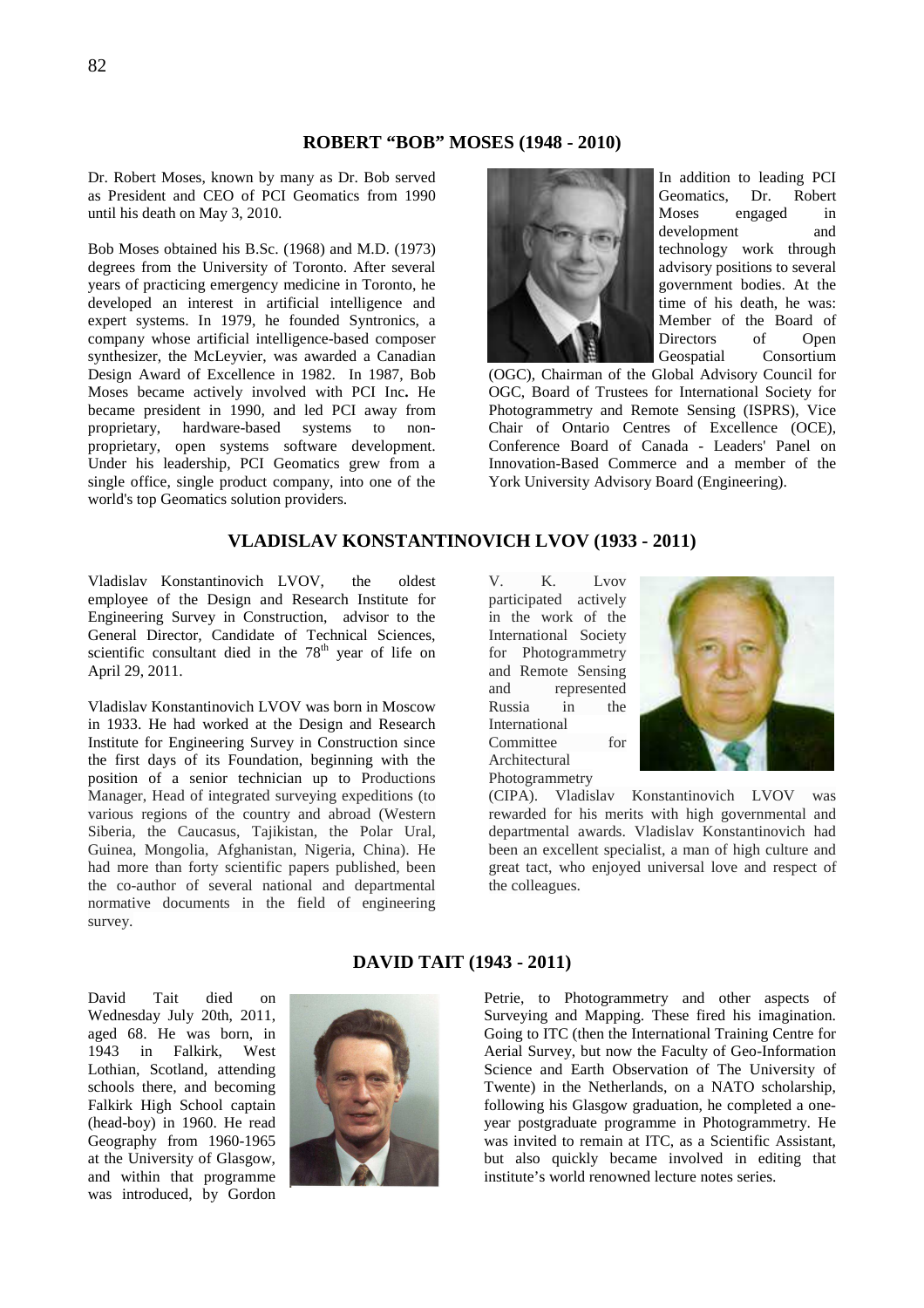#### **ROBERT "BOB" MOSES (1948 - 2010)**

Dr. Robert Moses, known by many as Dr. Bob served as President and CEO of PCI Geomatics from 1990 until his death on May 3, 2010.

Bob Moses obtained his B.Sc. (1968) and M.D. (1973) degrees from the University of Toronto. After several years of practicing emergency medicine in Toronto, he developed an interest in artificial intelligence and expert systems. In 1979, he founded Syntronics, a company whose artificial intelligence-based composer synthesizer, the McLeyvier, was awarded a Canadian Design Award of Excellence in 1982. In 1987, Bob Moses became actively involved with PCI Inc**.** He became president in 1990, and led PCI away from proprietary, hardware-based systems to nonproprietary, open systems software development. Under his leadership, PCI Geomatics grew from a single office, single product company, into one of the world's top Geomatics solution providers.



In addition to leading PCI Geomatics, Dr. Robert Moses engaged in development and technology work through advisory positions to several government bodies. At the time of his death, he was: Member of the Board of Directors of Open Geospatial Consortium

(OGC), Chairman of the Global Advisory Council for OGC, Board of Trustees for International Society for Photogrammetry and Remote Sensing (ISPRS), Vice Chair of Ontario Centres of Excellence (OCE), Conference Board of Canada - Leaders' Panel on Innovation-Based Commerce and a member of the York University Advisory Board (Engineering).

#### **VLADISLAV KONSTANTINOVICH LVOV (1933 - 2011)**

Vladislav Konstantinovich LVOV, the oldest employee of the Design and Research Institute for Engineering Survey in Construction, advisor to the General Director, Candidate of Technical Sciences, scientific consultant died in the  $78<sup>th</sup>$  year of life on April 29, 2011.

Vladislav Konstantinovich LVOV was born in Moscow in 1933. He had worked at the Design and Research Institute for Engineering Survey in Construction since the first days of its Foundation, beginning with the position of a senior technician up to Productions Manager, Head of integrated surveying expeditions (to various regions of the country and abroad (Western Siberia, the Caucasus, Tajikistan, the Polar Ural, Guinea, Mongolia, Afghanistan, Nigeria, China). He had more than forty scientific papers published, been the co-author of several national and departmental normative documents in the field of engineering survey.

V. K. Lvov participated actively in the work of the International Society for Photogrammetry and Remote Sensing and represented Russia in the International Committee for Architectural Photogrammetry



(CIPA). Vladislav Konstantinovich LVOV was rewarded for his merits with high governmental and departmental awards. Vladislav Konstantinovich had been an excellent specialist, a man of high culture and great tact, who enjoyed universal love and respect of the colleagues.

David Tait died on Wednesday July 20th, 2011, aged 68. He was born, in 1943 in Falkirk, West Lothian, Scotland, attending schools there, and becoming Falkirk High School captain (head-boy) in 1960. He read Geography from 1960-1965 at the University of Glasgow, and within that programme was introduced, by Gordon



#### **DAVID TAIT (1943 - 2011)**

Petrie, to Photogrammetry and other aspects of Surveying and Mapping. These fired his imagination. Going to ITC (then the International Training Centre for Aerial Survey, but now the Faculty of Geo-Information Science and Earth Observation of The University of Twente) in the Netherlands, on a NATO scholarship, following his Glasgow graduation, he completed a oneyear postgraduate programme in Photogrammetry. He was invited to remain at ITC, as a Scientific Assistant, but also quickly became involved in editing that institute's world renowned lecture notes series.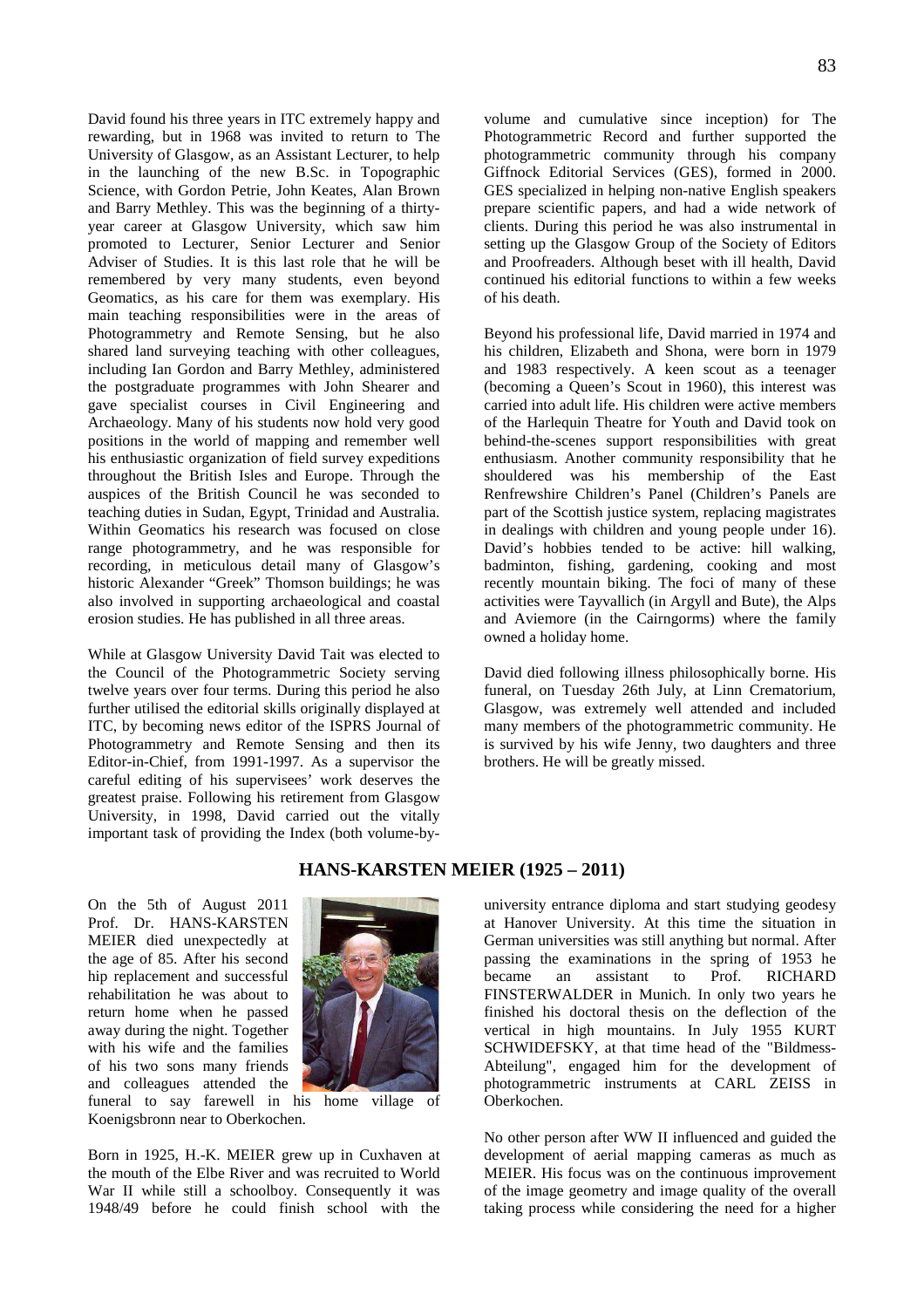David found his three years in ITC extremely happy and rewarding, but in 1968 was invited to return to The University of Glasgow, as an Assistant Lecturer, to help in the launching of the new B.Sc. in Topographic Science, with Gordon Petrie, John Keates, Alan Brown and Barry Methley. This was the beginning of a thirtyyear career at Glasgow University, which saw him promoted to Lecturer, Senior Lecturer and Senior Adviser of Studies. It is this last role that he will be remembered by very many students, even beyond Geomatics, as his care for them was exemplary. His main teaching responsibilities were in the areas of Photogrammetry and Remote Sensing, but he also shared land surveying teaching with other colleagues, including Ian Gordon and Barry Methley, administered the postgraduate programmes with John Shearer and gave specialist courses in Civil Engineering and Archaeology. Many of his students now hold very good positions in the world of mapping and remember well his enthusiastic organization of field survey expeditions throughout the British Isles and Europe. Through the auspices of the British Council he was seconded to teaching duties in Sudan, Egypt, Trinidad and Australia. Within Geomatics his research was focused on close range photogrammetry, and he was responsible for recording, in meticulous detail many of Glasgow's historic Alexander "Greek" Thomson buildings; he was also involved in supporting archaeological and coastal erosion studies. He has published in all three areas.

While at Glasgow University David Tait was elected to the Council of the Photogrammetric Society serving twelve years over four terms. During this period he also further utilised the editorial skills originally displayed at ITC, by becoming news editor of the ISPRS Journal of Photogrammetry and Remote Sensing and then its Editor-in-Chief, from 1991-1997. As a supervisor the careful editing of his supervisees' work deserves the greatest praise. Following his retirement from Glasgow University, in 1998, David carried out the vitally important task of providing the Index (both volume-byvolume and cumulative since inception) for The Photogrammetric Record and further supported the photogrammetric community through his company Giffnock Editorial Services (GES), formed in 2000. GES specialized in helping non-native English speakers prepare scientific papers, and had a wide network of clients. During this period he was also instrumental in setting up the Glasgow Group of the Society of Editors and Proofreaders. Although beset with ill health, David continued his editorial functions to within a few weeks of his death.

Beyond his professional life, David married in 1974 and his children, Elizabeth and Shona, were born in 1979 and 1983 respectively. A keen scout as a teenager (becoming a Queen's Scout in 1960), this interest was carried into adult life. His children were active members of the Harlequin Theatre for Youth and David took on behind-the-scenes support responsibilities with great enthusiasm. Another community responsibility that he shouldered was his membership of the East Renfrewshire Children's Panel (Children's Panels are part of the Scottish justice system, replacing magistrates in dealings with children and young people under 16). David's hobbies tended to be active: hill walking, badminton, fishing, gardening, cooking and most recently mountain biking. The foci of many of these activities were Tayvallich (in Argyll and Bute), the Alps and Aviemore (in the Cairngorms) where the family owned a holiday home.

David died following illness philosophically borne. His funeral, on Tuesday 26th July, at Linn Crematorium, Glasgow, was extremely well attended and included many members of the photogrammetric community. He is survived by his wife Jenny, two daughters and three brothers. He will be greatly missed.

On the 5th of August 2011 Prof. Dr. HANS-KARSTEN MEIER died unexpectedly at the age of 85. After his second hip replacement and successful rehabilitation he was about to return home when he passed away during the night. Together with his wife and the families of his two sons many friends and colleagues attended the

## **HANS-KARSTEN MEIER (1925 – 2011)**



funeral to say farewell in his home village of Koenigsbronn near to Oberkochen.

Born in 1925, H.-K. MEIER grew up in Cuxhaven at the mouth of the Elbe River and was recruited to World War II while still a schoolboy. Consequently it was 1948/49 before he could finish school with the

university entrance diploma and start studying geodesy at Hanover University. At this time the situation in German universities was still anything but normal. After passing the examinations in the spring of 1953 he became an assistant to Prof. RICHARD FINSTERWALDER in Munich. In only two years he finished his doctoral thesis on the deflection of the vertical in high mountains. In July 1955 KURT SCHWIDEFSKY, at that time head of the "Bildmess-Abteilung", engaged him for the development of photogrammetric instruments at CARL ZEISS in Oberkochen.

No other person after WW II influenced and guided the development of aerial mapping cameras as much as MEIER. His focus was on the continuous improvement of the image geometry and image quality of the overall taking process while considering the need for a higher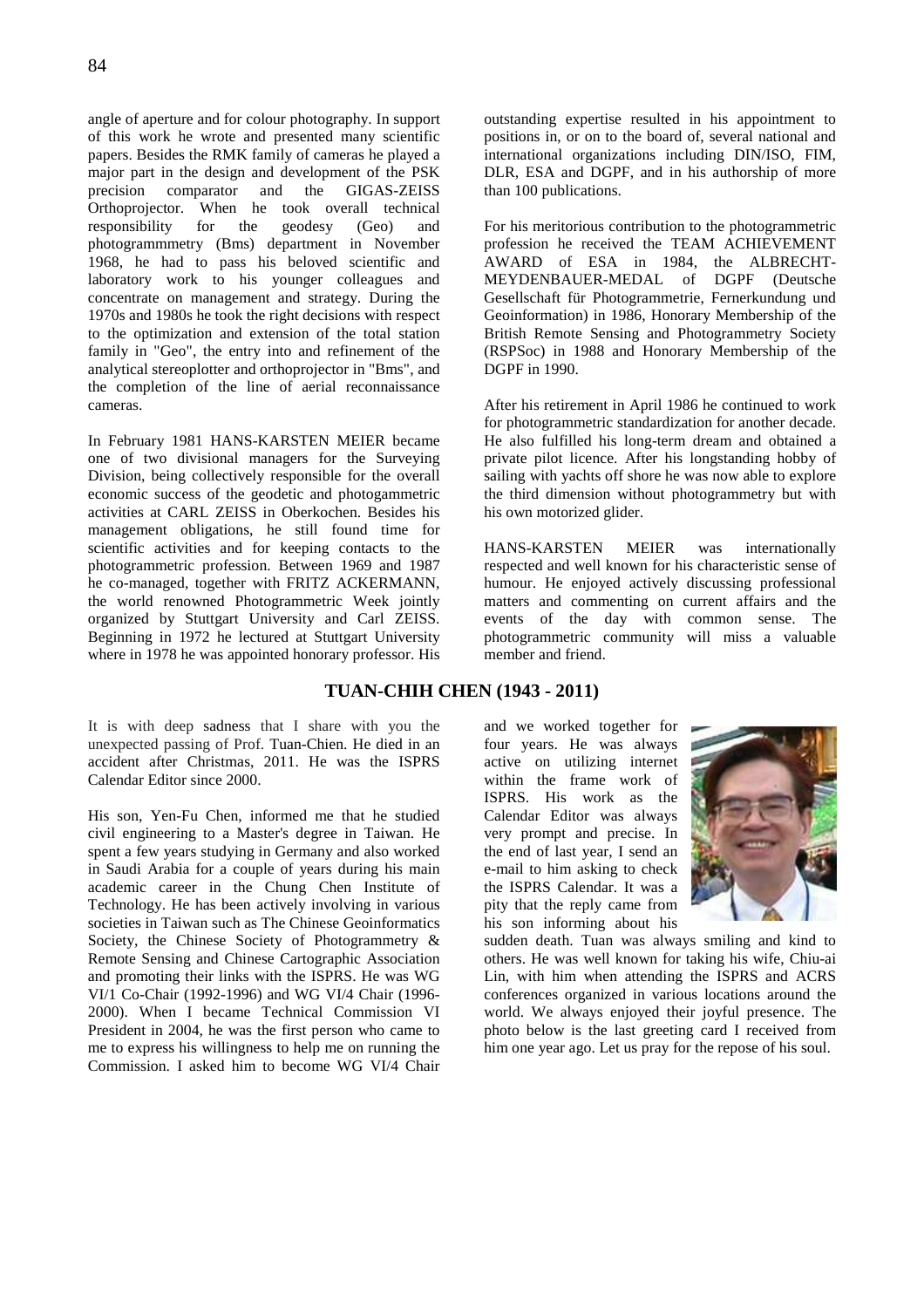angle of aperture and for colour photography. In support of this work he wrote and presented many scientific papers. Besides the RMK family of cameras he played a major part in the design and development of the PSK precision comparator and the GIGAS-ZEISS Orthoprojector. When he took overall technical responsibility for the geodesy (Geo) and photogrammmetry (Bms) department in November 1968, he had to pass his beloved scientific and laboratory work to his younger colleagues and concentrate on management and strategy. During the 1970s and 1980s he took the right decisions with respect to the optimization and extension of the total station family in "Geo", the entry into and refinement of the analytical stereoplotter and orthoprojector in "Bms", and the completion of the line of aerial reconnaissance cameras.

In February 1981 HANS-KARSTEN MEIER became one of two divisional managers for the Surveying Division, being collectively responsible for the overall economic success of the geodetic and photogammetric activities at CARL ZEISS in Oberkochen. Besides his management obligations, he still found time for scientific activities and for keeping contacts to the photogrammetric profession. Between 1969 and 1987 he co-managed, together with FRITZ ACKERMANN, the world renowned Photogrammetric Week jointly organized by Stuttgart University and Carl ZEISS. Beginning in 1972 he lectured at Stuttgart University where in 1978 he was appointed honorary professor. His

It is with deep sadness that I share with you the unexpected passing of Prof. Tuan-Chien. He died in an accident after Christmas, 2011. He was the ISPRS Calendar Editor since 2000.

His son, Yen-Fu Chen, informed me that he studied civil engineering to a Master's degree in Taiwan. He spent a few years studying in Germany and also worked in Saudi Arabia for a couple of years during his main academic career in the Chung Chen Institute of Technology. He has been actively involving in various societies in Taiwan such as The Chinese Geoinformatics Society, the Chinese Society of Photogrammetry & Remote Sensing and Chinese Cartographic Association and promoting their links with the ISPRS. He was WG VI/1 Co-Chair (1992-1996) and WG VI/4 Chair (1996- 2000). When I became Technical Commission VI President in 2004, he was the first person who came to me to express his willingness to help me on running the Commission. I asked him to become WG VI/4 Chair outstanding expertise resulted in his appointment to positions in, or on to the board of, several national and international organizations including DIN/ISO, FIM, DLR, ESA and DGPF, and in his authorship of more than 100 publications.

For his meritorious contribution to the photogrammetric profession he received the TEAM ACHIEVEMENT AWARD of ESA in 1984, the ALBRECHT-MEYDENBAUER-MEDAL of DGPF (Deutsche Gesellschaft für Photogrammetrie, Fernerkundung und Geoinformation) in 1986, Honorary Membership of the British Remote Sensing and Photogrammetry Society (RSPSoc) in 1988 and Honorary Membership of the DGPF in 1990.

After his retirement in April 1986 he continued to work for photogrammetric standardization for another decade. He also fulfilled his long-term dream and obtained a private pilot licence. After his longstanding hobby of sailing with yachts off shore he was now able to explore the third dimension without photogrammetry but with his own motorized glider.

HANS-KARSTEN MEIER was internationally respected and well known for his characteristic sense of humour. He enjoyed actively discussing professional matters and commenting on current affairs and the events of the day with common sense. The photogrammetric community will miss a valuable member and friend.

#### **TUAN-CHIH CHEN (1943 - 2011)**

and we worked together for four years. He was always active on utilizing internet within the frame work of ISPRS. His work as the Calendar Editor was always very prompt and precise. In the end of last year, I send an e-mail to him asking to check the ISPRS Calendar. It was a pity that the reply came from his son informing about his



sudden death. Tuan was always smiling and kind to others. He was well known for taking his wife, Chiu-ai Lin, with him when attending the ISPRS and ACRS conferences organized in various locations around the world. We always enjoyed their joyful presence. The photo below is the last greeting card I received from him one year ago. Let us pray for the repose of his soul.